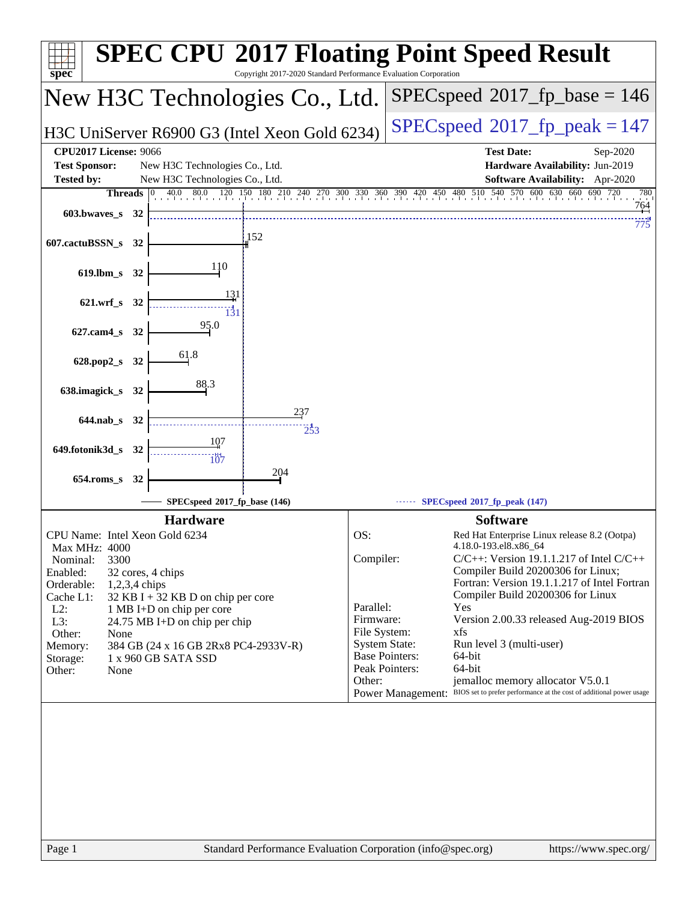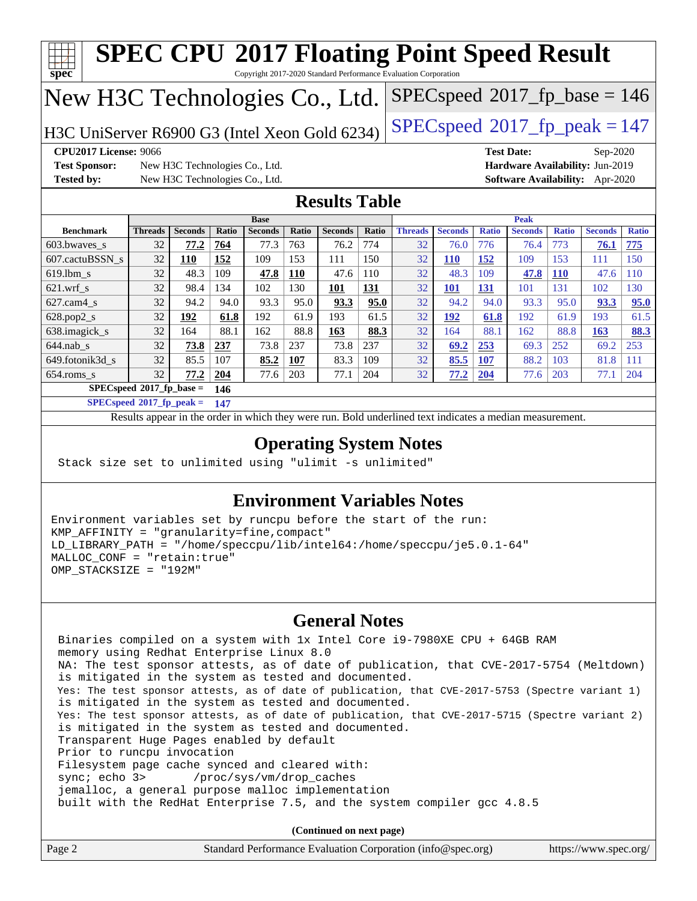

 Binaries compiled on a system with 1x Intel Core i9-7980XE CPU + 64GB RAM memory using Redhat Enterprise Linux 8.0 NA: The test sponsor attests, as of date of publication, that CVE-2017-5754 (Meltdown) is mitigated in the system as tested and documented. Yes: The test sponsor attests, as of date of publication, that CVE-2017-5753 (Spectre variant 1) is mitigated in the system as tested and documented. Yes: The test sponsor attests, as of date of publication, that CVE-2017-5715 (Spectre variant 2) is mitigated in the system as tested and documented. Transparent Huge Pages enabled by default Prior to runcpu invocation Filesystem page cache synced and cleared with: sync; echo 3> /proc/sys/vm/drop\_caches jemalloc, a general purpose malloc implementation built with the RedHat Enterprise 7.5, and the system compiler gcc 4.8.5

**(Continued on next page)**

| Page 2<br>Standard Performance Evaluation Corporation (info@spec.org)<br>https://www.spec.org/ |
|------------------------------------------------------------------------------------------------|
|------------------------------------------------------------------------------------------------|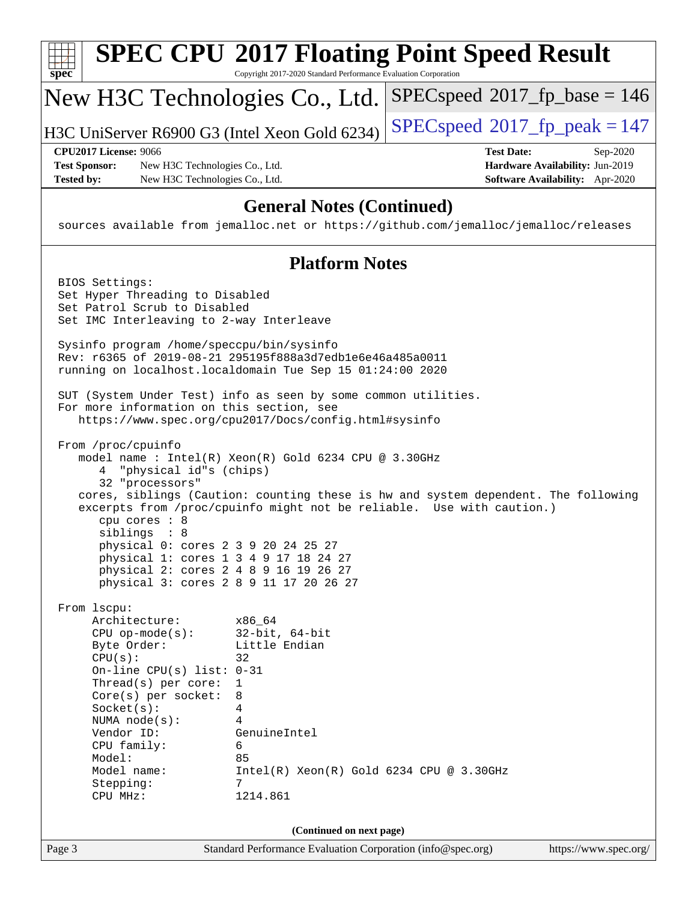| spec                                                                                                                   | Copyright 2017-2020 Standard Performance Evaluation Corporation | <b>SPEC CPU®2017 Floating Point Speed Result</b>                                   |                                                                    |
|------------------------------------------------------------------------------------------------------------------------|-----------------------------------------------------------------|------------------------------------------------------------------------------------|--------------------------------------------------------------------|
| New H3C Technologies Co., Ltd.                                                                                         |                                                                 | $SPEC speed^{\circ}2017\_fp\_base = 146$                                           |                                                                    |
| H3C UniServer R6900 G3 (Intel Xeon Gold 6234)                                                                          |                                                                 | $SPEC speed^{\circ}2017$ _fp_peak = 147                                            |                                                                    |
| <b>CPU2017 License: 9066</b>                                                                                           |                                                                 | <b>Test Date:</b>                                                                  | Sep-2020                                                           |
| <b>Test Sponsor:</b><br>New H3C Technologies Co., Ltd.<br><b>Tested by:</b><br>New H3C Technologies Co., Ltd.          |                                                                 |                                                                                    | Hardware Availability: Jun-2019<br>Software Availability: Apr-2020 |
|                                                                                                                        |                                                                 |                                                                                    |                                                                    |
| sources available from jemalloc.net or https://github.com/jemalloc/jemalloc/releases                                   | <b>General Notes (Continued)</b>                                |                                                                                    |                                                                    |
|                                                                                                                        | <b>Platform Notes</b>                                           |                                                                                    |                                                                    |
| BIOS Settings:                                                                                                         |                                                                 |                                                                                    |                                                                    |
| Set Hyper Threading to Disabled                                                                                        |                                                                 |                                                                                    |                                                                    |
| Set Patrol Scrub to Disabled<br>Set IMC Interleaving to 2-way Interleave                                               |                                                                 |                                                                                    |                                                                    |
| Sysinfo program /home/speccpu/bin/sysinfo                                                                              |                                                                 |                                                                                    |                                                                    |
| Rev: r6365 of 2019-08-21 295195f888a3d7edble6e46a485a0011<br>running on localhost.localdomain Tue Sep 15 01:24:00 2020 |                                                                 |                                                                                    |                                                                    |
| SUT (System Under Test) info as seen by some common utilities.                                                         |                                                                 |                                                                                    |                                                                    |
| For more information on this section, see                                                                              | https://www.spec.org/cpu2017/Docs/config.html#sysinfo           |                                                                                    |                                                                    |
| From /proc/cpuinfo                                                                                                     |                                                                 |                                                                                    |                                                                    |
|                                                                                                                        | model name : Intel(R) Xeon(R) Gold 6234 CPU @ 3.30GHz           |                                                                                    |                                                                    |
| 4 "physical id"s (chips)                                                                                               |                                                                 |                                                                                    |                                                                    |
| 32 "processors"                                                                                                        |                                                                 | cores, siblings (Caution: counting these is hw and system dependent. The following |                                                                    |
| cpu cores : 8                                                                                                          |                                                                 | excerpts from /proc/cpuinfo might not be reliable. Use with caution.)              |                                                                    |
| siblings : 8                                                                                                           |                                                                 |                                                                                    |                                                                    |
| physical 0: cores 2 3 9 20 24 25 27                                                                                    |                                                                 |                                                                                    |                                                                    |
| physical 1: cores 1 3 4 9 17 18 24 27<br>physical 2: cores 2 4 8 9 16 19 26 27                                         |                                                                 |                                                                                    |                                                                    |
| physical 3: cores 2 8 9 11 17 20 26 27                                                                                 |                                                                 |                                                                                    |                                                                    |
| From 1scpu:                                                                                                            |                                                                 |                                                                                    |                                                                    |
| Architecture:                                                                                                          | x86 64                                                          |                                                                                    |                                                                    |
| $CPU$ op-mode( $s$ ):                                                                                                  | $32$ -bit, $64$ -bit                                            |                                                                                    |                                                                    |
| Byte Order:<br>CPU(s):                                                                                                 | Little Endian<br>32                                             |                                                                                    |                                                                    |
| On-line CPU(s) list: $0-31$                                                                                            |                                                                 |                                                                                    |                                                                    |
| Thread(s) per core:                                                                                                    | 1                                                               |                                                                                    |                                                                    |
| Core(s) per socket:<br>Socket(s):                                                                                      | 8<br>4                                                          |                                                                                    |                                                                    |
| NUMA node(s):                                                                                                          | 4                                                               |                                                                                    |                                                                    |
| Vendor ID:                                                                                                             | GenuineIntel                                                    |                                                                                    |                                                                    |
| CPU family:<br>Model:                                                                                                  | 6<br>85                                                         |                                                                                    |                                                                    |
| Model name:                                                                                                            | $Intel(R)$ Xeon $(R)$ Gold 6234 CPU @ 3.30GHz                   |                                                                                    |                                                                    |
| Stepping:<br>CPU MHz:                                                                                                  | 7<br>1214.861                                                   |                                                                                    |                                                                    |
|                                                                                                                        |                                                                 |                                                                                    |                                                                    |
|                                                                                                                        | (Continued on next page)                                        |                                                                                    |                                                                    |
| Page 3                                                                                                                 | Standard Performance Evaluation Corporation (info@spec.org)     |                                                                                    | https://www.spec.org/                                              |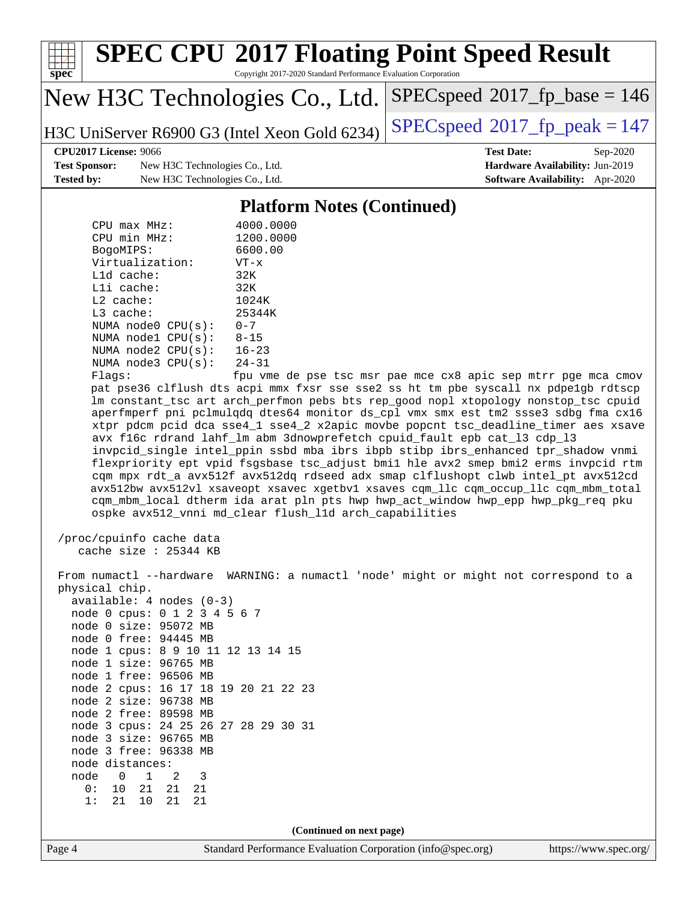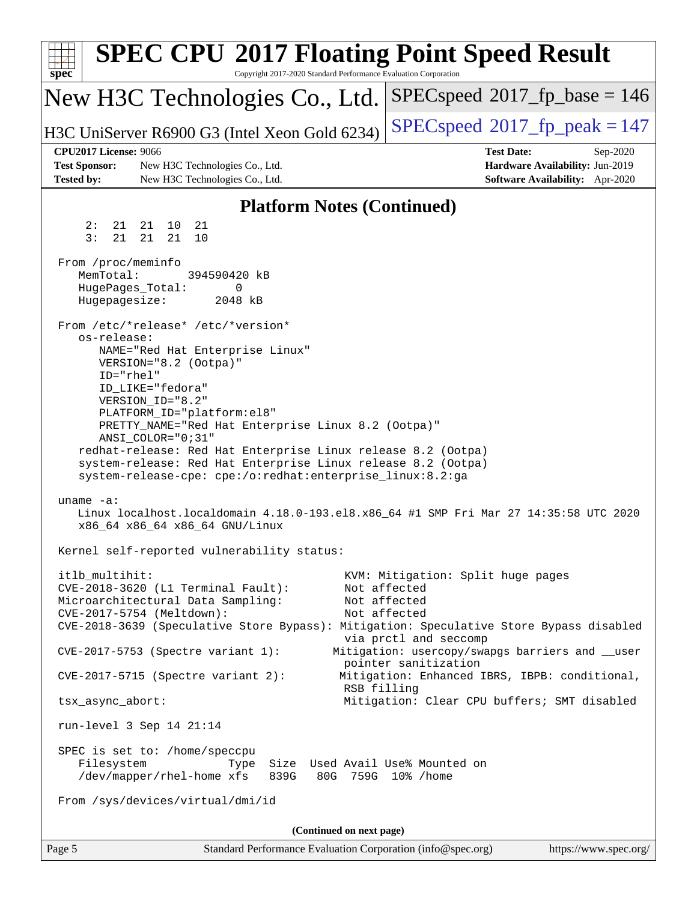| <b>SPEC CPU®2017 Floating Point Speed Result</b><br>$spec^*$<br>Copyright 2017-2020 Standard Performance Evaluation Corporation                                                                                                                                                                                                                                                                                                                                                                                                                                                                                                                                                                                                                                                                         |                                                                                                                                                                                                                                                                                                              |
|---------------------------------------------------------------------------------------------------------------------------------------------------------------------------------------------------------------------------------------------------------------------------------------------------------------------------------------------------------------------------------------------------------------------------------------------------------------------------------------------------------------------------------------------------------------------------------------------------------------------------------------------------------------------------------------------------------------------------------------------------------------------------------------------------------|--------------------------------------------------------------------------------------------------------------------------------------------------------------------------------------------------------------------------------------------------------------------------------------------------------------|
| New H3C Technologies Co., Ltd.                                                                                                                                                                                                                                                                                                                                                                                                                                                                                                                                                                                                                                                                                                                                                                          | $SPEC speed^{\circ}2017\_fp\_base = 146$                                                                                                                                                                                                                                                                     |
| H3C UniServer R6900 G3 (Intel Xeon Gold 6234)                                                                                                                                                                                                                                                                                                                                                                                                                                                                                                                                                                                                                                                                                                                                                           | $SPEC speed^{\circ}2017$ fp peak = 147                                                                                                                                                                                                                                                                       |
| <b>CPU2017 License: 9066</b><br><b>Test Sponsor:</b><br>New H3C Technologies Co., Ltd.<br><b>Tested by:</b><br>New H3C Technologies Co., Ltd.                                                                                                                                                                                                                                                                                                                                                                                                                                                                                                                                                                                                                                                           | <b>Test Date:</b><br>Sep-2020<br>Hardware Availability: Jun-2019<br>Software Availability: Apr-2020                                                                                                                                                                                                          |
| <b>Platform Notes (Continued)</b>                                                                                                                                                                                                                                                                                                                                                                                                                                                                                                                                                                                                                                                                                                                                                                       |                                                                                                                                                                                                                                                                                                              |
| 21<br>2:<br>21<br>21 10                                                                                                                                                                                                                                                                                                                                                                                                                                                                                                                                                                                                                                                                                                                                                                                 |                                                                                                                                                                                                                                                                                                              |
| 3:<br>21<br>21<br>21<br>10<br>From /proc/meminfo<br>MemTotal:<br>394590420 kB<br>HugePages_Total:<br>0<br>Hugepagesize:<br>2048 kB<br>From /etc/*release* /etc/*version*<br>os-release:<br>NAME="Red Hat Enterprise Linux"<br>VERSION="8.2 (Ootpa)"<br>ID="rhel"<br>ID_LIKE="fedora"<br>VERSION_ID="8.2"<br>PLATFORM_ID="platform:el8"<br>PRETTY_NAME="Red Hat Enterprise Linux 8.2 (Ootpa)"<br>ANSI_COLOR="0;31"<br>redhat-release: Red Hat Enterprise Linux release 8.2 (Ootpa)<br>system-release: Red Hat Enterprise Linux release 8.2 (Ootpa)<br>system-release-cpe: cpe:/o:redhat:enterprise_linux:8.2:ga<br>uname $-a$ :<br>Linux localhost.localdomain 4.18.0-193.el8.x86_64 #1 SMP Fri Mar 27 14:35:58 UTC 2020<br>x86_64 x86_64 x86_64 GNU/Linux<br>Kernel self-reported vulnerability status: |                                                                                                                                                                                                                                                                                                              |
| itlb_multihit:<br>CVE-2018-3620 (L1 Terminal Fault):<br>Microarchitectural Data Sampling:<br>CVE-2017-5754 (Meltdown):<br>CVE-2018-3639 (Speculative Store Bypass): Mitigation: Speculative Store Bypass disabled<br>CVE-2017-5753 (Spectre variant 1):<br>$CVE-2017-5715$ (Spectre variant 2):<br>RSB filling<br>tsx_async_abort:<br>run-level $3$ Sep $14$ $21:14$<br>SPEC is set to: /home/speccpu<br>Filesystem<br>Size Used Avail Use% Mounted on<br>Type<br>/dev/mapper/rhel-home xfs<br>839G<br>From /sys/devices/virtual/dmi/id                                                                                                                                                                                                                                                                 | KVM: Mitigation: Split huge pages<br>Not affected<br>Not affected<br>Not affected<br>via prctl and seccomp<br>Mitigation: usercopy/swapgs barriers and __user<br>pointer sanitization<br>Mitigation: Enhanced IBRS, IBPB: conditional,<br>Mitigation: Clear CPU buffers; SMT disabled<br>80G 759G 10% / home |
| (Continued on next page)<br>Page 5<br>Standard Performance Evaluation Corporation (info@spec.org)                                                                                                                                                                                                                                                                                                                                                                                                                                                                                                                                                                                                                                                                                                       | https://www.spec.org/                                                                                                                                                                                                                                                                                        |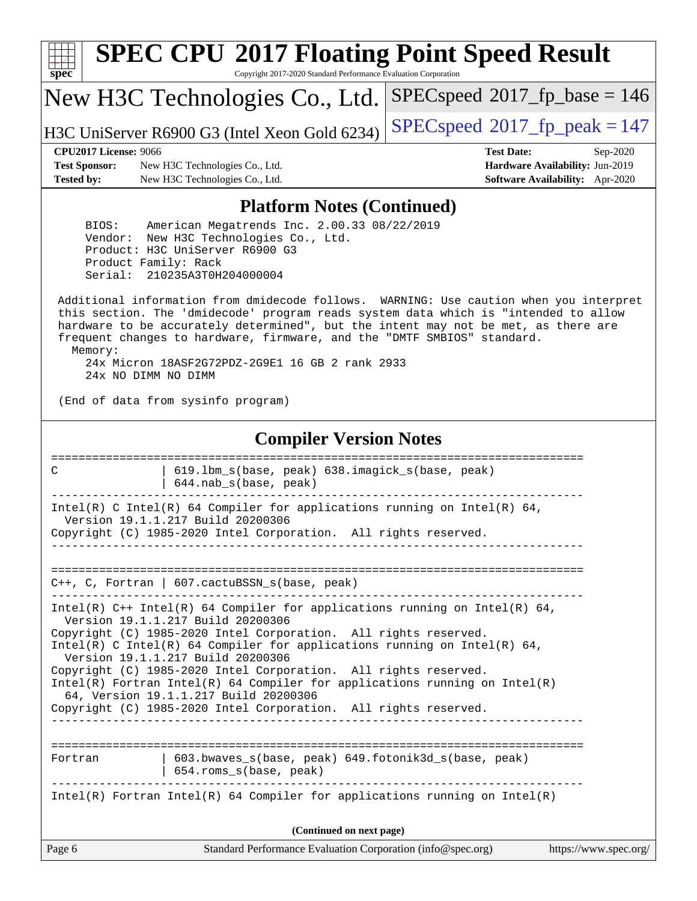

# **[SPEC CPU](http://www.spec.org/auto/cpu2017/Docs/result-fields.html#SPECCPU2017FloatingPointSpeedResult)[2017 Floating Point Speed Result](http://www.spec.org/auto/cpu2017/Docs/result-fields.html#SPECCPU2017FloatingPointSpeedResult)**

Copyright 2017-2020 Standard Performance Evaluation Corporation

New H3C Technologies Co., Ltd.

H3C UniServer R6900 G3 (Intel Xeon Gold 6234) [SPECspeed](http://www.spec.org/auto/cpu2017/Docs/result-fields.html#SPECspeed2017fppeak)<sup>®</sup>[2017\\_fp\\_peak = 1](http://www.spec.org/auto/cpu2017/Docs/result-fields.html#SPECspeed2017fppeak)47

[SPECspeed](http://www.spec.org/auto/cpu2017/Docs/result-fields.html#SPECspeed2017fpbase)<sup>®</sup>2017 fp base = 146

**[Test Sponsor:](http://www.spec.org/auto/cpu2017/Docs/result-fields.html#TestSponsor)** New H3C Technologies Co., Ltd. **[Hardware Availability:](http://www.spec.org/auto/cpu2017/Docs/result-fields.html#HardwareAvailability)** Jun-2019 **[Tested by:](http://www.spec.org/auto/cpu2017/Docs/result-fields.html#Testedby)** New H3C Technologies Co., Ltd. **[Software Availability:](http://www.spec.org/auto/cpu2017/Docs/result-fields.html#SoftwareAvailability)** Apr-2020

**[CPU2017 License:](http://www.spec.org/auto/cpu2017/Docs/result-fields.html#CPU2017License)** 9066 **[Test Date:](http://www.spec.org/auto/cpu2017/Docs/result-fields.html#TestDate)** Sep-2020

### **[Platform Notes \(Continued\)](http://www.spec.org/auto/cpu2017/Docs/result-fields.html#PlatformNotes)**

 BIOS: American Megatrends Inc. 2.00.33 08/22/2019 Vendor: New H3C Technologies Co., Ltd. Product: H3C UniServer R6900 G3 Product Family: Rack Serial: 210235A3T0H204000004

 Additional information from dmidecode follows. WARNING: Use caution when you interpret this section. The 'dmidecode' program reads system data which is "intended to allow hardware to be accurately determined", but the intent may not be met, as there are frequent changes to hardware, firmware, and the "DMTF SMBIOS" standard. Memory: 24x Micron 18ASF2G72PDZ-2G9E1 16 GB 2 rank 2933

24x NO DIMM NO DIMM

(End of data from sysinfo program)

### **[Compiler Version Notes](http://www.spec.org/auto/cpu2017/Docs/result-fields.html#CompilerVersionNotes)**

| Page 6                                                                 | Standard Performance Evaluation Corporation (info@spec.org)                                                                                                                                                                                                                                                                                                                                                                                                                                  | https://www.spec.org/ |  |
|------------------------------------------------------------------------|----------------------------------------------------------------------------------------------------------------------------------------------------------------------------------------------------------------------------------------------------------------------------------------------------------------------------------------------------------------------------------------------------------------------------------------------------------------------------------------------|-----------------------|--|
|                                                                        | (Continued on next page)                                                                                                                                                                                                                                                                                                                                                                                                                                                                     |                       |  |
|                                                                        | Intel(R) Fortran Intel(R) 64 Compiler for applications running on Intel(R)                                                                                                                                                                                                                                                                                                                                                                                                                   |                       |  |
| Fortran                                                                | 603.bwaves s(base, peak) 649.fotonik3d s(base, peak)<br>654.roms_s(base, peak)<br>------------                                                                                                                                                                                                                                                                                                                                                                                               |                       |  |
| Version 19.1.1.217 Build 20200306<br>Version 19.1.1.217 Build 20200306 | Intel(R) $C++$ Intel(R) 64 Compiler for applications running on Intel(R) 64,<br>Copyright (C) 1985-2020 Intel Corporation. All rights reserved.<br>$Intel(R)$ C Intel(R) 64 Compiler for applications running on Intel(R) 64,<br>Copyright (C) 1985-2020 Intel Corporation. All rights reserved.<br>$Intel(R)$ Fortran Intel(R) 64 Compiler for applications running on Intel(R)<br>64, Version 19.1.1.217 Build 20200306<br>Copyright (C) 1985-2020 Intel Corporation. All rights reserved. |                       |  |
|                                                                        | $C_{++}$ , C, Fortran   607. cactuBSSN s(base, peak)                                                                                                                                                                                                                                                                                                                                                                                                                                         |                       |  |
| Version 19.1.1.217 Build 20200306                                      | Intel(R) C Intel(R) 64 Compiler for applications running on Intel(R) 64,<br>Copyright (C) 1985-2020 Intel Corporation. All rights reserved.<br>_________________________________                                                                                                                                                                                                                                                                                                             |                       |  |
| C                                                                      | 619.1bm s(base, peak) 638.imagick s(base, peak)<br>644.nab_s(base, peak)                                                                                                                                                                                                                                                                                                                                                                                                                     |                       |  |
|                                                                        |                                                                                                                                                                                                                                                                                                                                                                                                                                                                                              |                       |  |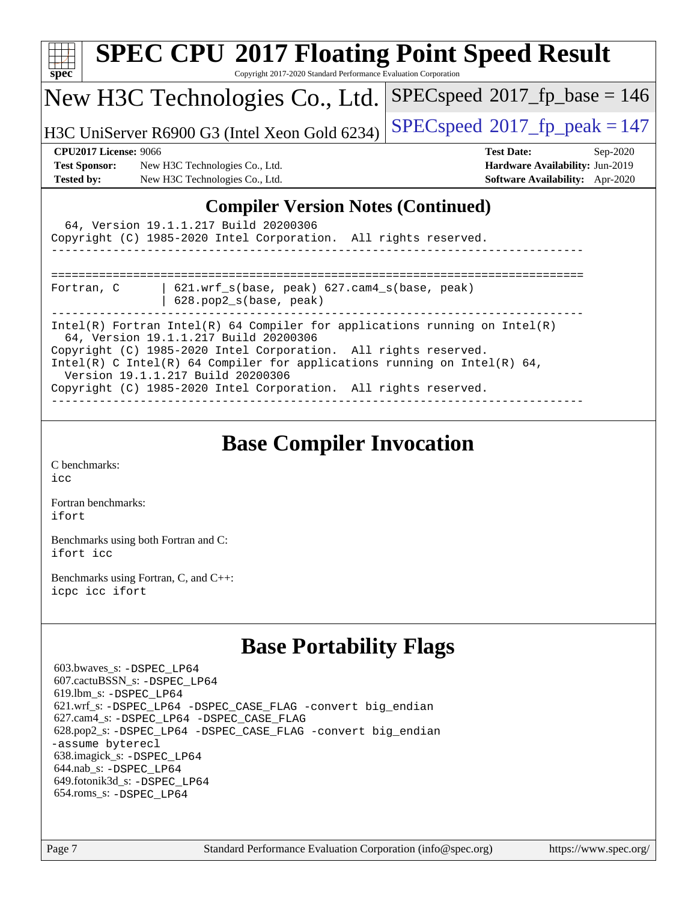|                                                                                                                                                                                                                                                                                                                                                                            | <b>SPEC CPU®2017 Floating Point Speed Result</b>                |                                        |  |
|----------------------------------------------------------------------------------------------------------------------------------------------------------------------------------------------------------------------------------------------------------------------------------------------------------------------------------------------------------------------------|-----------------------------------------------------------------|----------------------------------------|--|
| $spec^*$                                                                                                                                                                                                                                                                                                                                                                   | Copyright 2017-2020 Standard Performance Evaluation Corporation |                                        |  |
| $SPEC speed^{\circ}2017$ fp base = 146<br>New H3C Technologies Co., Ltd.                                                                                                                                                                                                                                                                                                   |                                                                 |                                        |  |
|                                                                                                                                                                                                                                                                                                                                                                            | H3C UniServer R6900 G3 (Intel Xeon Gold 6234)                   | $SPEC speed^{\circ}2017$ fp peak = 147 |  |
| <b>CPU2017 License: 9066</b>                                                                                                                                                                                                                                                                                                                                               |                                                                 | <b>Test Date:</b><br>$Sep-2020$        |  |
| <b>Test Sponsor:</b><br>New H3C Technologies Co., Ltd.                                                                                                                                                                                                                                                                                                                     |                                                                 | Hardware Availability: Jun-2019        |  |
| <b>Tested by:</b>                                                                                                                                                                                                                                                                                                                                                          | New H3C Technologies Co., Ltd.                                  | <b>Software Availability:</b> Apr-2020 |  |
| 64, Version 19.1.1.217 Build 20200306<br>Copyright (C) 1985-2020 Intel Corporation. All rights reserved.                                                                                                                                                                                                                                                                   |                                                                 |                                        |  |
| $621.$ wrf $s$ (base, peak) $627.$ cam4 $s$ (base, peak)<br>Fortran, C<br>628.pop2_s(base, peak)                                                                                                                                                                                                                                                                           |                                                                 |                                        |  |
| Intel(R) Fortran Intel(R) 64 Compiler for applications running on Intel(R)<br>64, Version 19.1.1.217 Build 20200306<br>Copyright (C) 1985-2020 Intel Corporation. All rights reserved.<br>Intel(R) C Intel(R) 64 Compiler for applications running on Intel(R) 64,<br>Version 19.1.1.217 Build 20200306<br>Copyright (C) 1985-2020 Intel Corporation. All rights reserved. |                                                                 |                                        |  |

## **[Base Compiler Invocation](http://www.spec.org/auto/cpu2017/Docs/result-fields.html#BaseCompilerInvocation)**

[C benchmarks](http://www.spec.org/auto/cpu2017/Docs/result-fields.html#Cbenchmarks): [icc](http://www.spec.org/cpu2017/results/res2020q4/cpu2017-20200927-24035.flags.html#user_CCbase_intel_icc_66fc1ee009f7361af1fbd72ca7dcefbb700085f36577c54f309893dd4ec40d12360134090235512931783d35fd58c0460139e722d5067c5574d8eaf2b3e37e92)

[Fortran benchmarks](http://www.spec.org/auto/cpu2017/Docs/result-fields.html#Fortranbenchmarks): [ifort](http://www.spec.org/cpu2017/results/res2020q4/cpu2017-20200927-24035.flags.html#user_FCbase_intel_ifort_8111460550e3ca792625aed983ce982f94888b8b503583aa7ba2b8303487b4d8a21a13e7191a45c5fd58ff318f48f9492884d4413fa793fd88dd292cad7027ca)

[Benchmarks using both Fortran and C](http://www.spec.org/auto/cpu2017/Docs/result-fields.html#BenchmarksusingbothFortranandC): [ifort](http://www.spec.org/cpu2017/results/res2020q4/cpu2017-20200927-24035.flags.html#user_CC_FCbase_intel_ifort_8111460550e3ca792625aed983ce982f94888b8b503583aa7ba2b8303487b4d8a21a13e7191a45c5fd58ff318f48f9492884d4413fa793fd88dd292cad7027ca) [icc](http://www.spec.org/cpu2017/results/res2020q4/cpu2017-20200927-24035.flags.html#user_CC_FCbase_intel_icc_66fc1ee009f7361af1fbd72ca7dcefbb700085f36577c54f309893dd4ec40d12360134090235512931783d35fd58c0460139e722d5067c5574d8eaf2b3e37e92)

[Benchmarks using Fortran, C, and C++:](http://www.spec.org/auto/cpu2017/Docs/result-fields.html#BenchmarksusingFortranCandCXX) [icpc](http://www.spec.org/cpu2017/results/res2020q4/cpu2017-20200927-24035.flags.html#user_CC_CXX_FCbase_intel_icpc_c510b6838c7f56d33e37e94d029a35b4a7bccf4766a728ee175e80a419847e808290a9b78be685c44ab727ea267ec2f070ec5dc83b407c0218cded6866a35d07) [icc](http://www.spec.org/cpu2017/results/res2020q4/cpu2017-20200927-24035.flags.html#user_CC_CXX_FCbase_intel_icc_66fc1ee009f7361af1fbd72ca7dcefbb700085f36577c54f309893dd4ec40d12360134090235512931783d35fd58c0460139e722d5067c5574d8eaf2b3e37e92) [ifort](http://www.spec.org/cpu2017/results/res2020q4/cpu2017-20200927-24035.flags.html#user_CC_CXX_FCbase_intel_ifort_8111460550e3ca792625aed983ce982f94888b8b503583aa7ba2b8303487b4d8a21a13e7191a45c5fd58ff318f48f9492884d4413fa793fd88dd292cad7027ca)

## **[Base Portability Flags](http://www.spec.org/auto/cpu2017/Docs/result-fields.html#BasePortabilityFlags)**

 603.bwaves\_s: [-DSPEC\\_LP64](http://www.spec.org/cpu2017/results/res2020q4/cpu2017-20200927-24035.flags.html#suite_basePORTABILITY603_bwaves_s_DSPEC_LP64) 607.cactuBSSN\_s: [-DSPEC\\_LP64](http://www.spec.org/cpu2017/results/res2020q4/cpu2017-20200927-24035.flags.html#suite_basePORTABILITY607_cactuBSSN_s_DSPEC_LP64) 619.lbm\_s: [-DSPEC\\_LP64](http://www.spec.org/cpu2017/results/res2020q4/cpu2017-20200927-24035.flags.html#suite_basePORTABILITY619_lbm_s_DSPEC_LP64) 621.wrf\_s: [-DSPEC\\_LP64](http://www.spec.org/cpu2017/results/res2020q4/cpu2017-20200927-24035.flags.html#suite_basePORTABILITY621_wrf_s_DSPEC_LP64) [-DSPEC\\_CASE\\_FLAG](http://www.spec.org/cpu2017/results/res2020q4/cpu2017-20200927-24035.flags.html#b621.wrf_s_baseCPORTABILITY_DSPEC_CASE_FLAG) [-convert big\\_endian](http://www.spec.org/cpu2017/results/res2020q4/cpu2017-20200927-24035.flags.html#user_baseFPORTABILITY621_wrf_s_convert_big_endian_c3194028bc08c63ac5d04de18c48ce6d347e4e562e8892b8bdbdc0214820426deb8554edfa529a3fb25a586e65a3d812c835984020483e7e73212c4d31a38223) 627.cam4\_s: [-DSPEC\\_LP64](http://www.spec.org/cpu2017/results/res2020q4/cpu2017-20200927-24035.flags.html#suite_basePORTABILITY627_cam4_s_DSPEC_LP64) [-DSPEC\\_CASE\\_FLAG](http://www.spec.org/cpu2017/results/res2020q4/cpu2017-20200927-24035.flags.html#b627.cam4_s_baseCPORTABILITY_DSPEC_CASE_FLAG) 628.pop2\_s: [-DSPEC\\_LP64](http://www.spec.org/cpu2017/results/res2020q4/cpu2017-20200927-24035.flags.html#suite_basePORTABILITY628_pop2_s_DSPEC_LP64) [-DSPEC\\_CASE\\_FLAG](http://www.spec.org/cpu2017/results/res2020q4/cpu2017-20200927-24035.flags.html#b628.pop2_s_baseCPORTABILITY_DSPEC_CASE_FLAG) [-convert big\\_endian](http://www.spec.org/cpu2017/results/res2020q4/cpu2017-20200927-24035.flags.html#user_baseFPORTABILITY628_pop2_s_convert_big_endian_c3194028bc08c63ac5d04de18c48ce6d347e4e562e8892b8bdbdc0214820426deb8554edfa529a3fb25a586e65a3d812c835984020483e7e73212c4d31a38223) [-assume byterecl](http://www.spec.org/cpu2017/results/res2020q4/cpu2017-20200927-24035.flags.html#user_baseFPORTABILITY628_pop2_s_assume_byterecl_7e47d18b9513cf18525430bbf0f2177aa9bf368bc7a059c09b2c06a34b53bd3447c950d3f8d6c70e3faf3a05c8557d66a5798b567902e8849adc142926523472) 638.imagick\_s: [-DSPEC\\_LP64](http://www.spec.org/cpu2017/results/res2020q4/cpu2017-20200927-24035.flags.html#suite_basePORTABILITY638_imagick_s_DSPEC_LP64) 644.nab\_s: [-DSPEC\\_LP64](http://www.spec.org/cpu2017/results/res2020q4/cpu2017-20200927-24035.flags.html#suite_basePORTABILITY644_nab_s_DSPEC_LP64) 649.fotonik3d\_s: [-DSPEC\\_LP64](http://www.spec.org/cpu2017/results/res2020q4/cpu2017-20200927-24035.flags.html#suite_basePORTABILITY649_fotonik3d_s_DSPEC_LP64) 654.roms\_s: [-DSPEC\\_LP64](http://www.spec.org/cpu2017/results/res2020q4/cpu2017-20200927-24035.flags.html#suite_basePORTABILITY654_roms_s_DSPEC_LP64)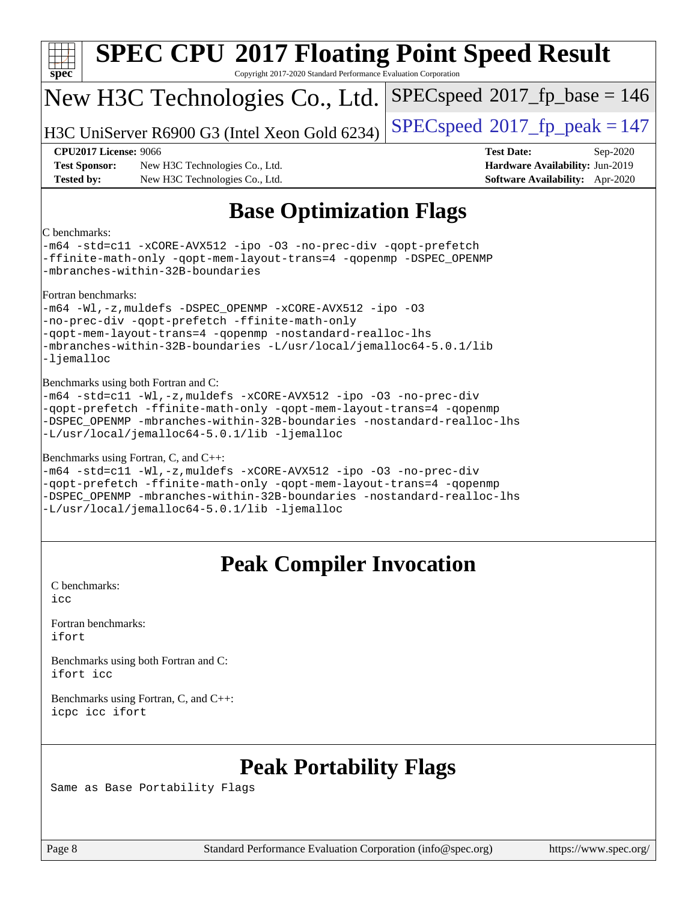| <b>SPEC CPU®2017 Floating Point Speed Result</b><br>Copyright 2017-2020 Standard Performance Evaluation Corporation<br>$spec^*$                                                                                                                                                                             |                                                                                                                                                                            |                                                                                                     |  |
|-------------------------------------------------------------------------------------------------------------------------------------------------------------------------------------------------------------------------------------------------------------------------------------------------------------|----------------------------------------------------------------------------------------------------------------------------------------------------------------------------|-----------------------------------------------------------------------------------------------------|--|
|                                                                                                                                                                                                                                                                                                             | New H3C Technologies Co., Ltd.                                                                                                                                             | $SPEC speed^{\circ}2017$ fp base = 146                                                              |  |
|                                                                                                                                                                                                                                                                                                             | H3C UniServer R6900 G3 (Intel Xeon Gold 6234)                                                                                                                              | $SPEC speed^{\circ}2017$ _fp_peak = 147                                                             |  |
| <b>CPU2017 License: 9066</b><br><b>Test Sponsor:</b><br><b>Tested by:</b>                                                                                                                                                                                                                                   | New H3C Technologies Co., Ltd.<br>New H3C Technologies Co., Ltd.                                                                                                           | <b>Test Date:</b><br>Sep-2020<br>Hardware Availability: Jun-2019<br>Software Availability: Apr-2020 |  |
|                                                                                                                                                                                                                                                                                                             | <b>Base Optimization Flags</b>                                                                                                                                             |                                                                                                     |  |
| C benchmarks:                                                                                                                                                                                                                                                                                               | -m64 -std=cll -xCORE-AVX512 -ipo -03 -no-prec-div -qopt-prefetch<br>-ffinite-math-only -qopt-mem-layout-trans=4 -qopenmp -DSPEC_OPENMP<br>-mbranches-within-32B-boundaries |                                                                                                     |  |
| Fortran benchmarks:<br>-m64 -Wl,-z, muldefs -DSPEC_OPENMP -xCORE-AVX512 -ipo -03<br>-no-prec-div -qopt-prefetch -ffinite-math-only<br>-gopt-mem-layout-trans=4 -gopenmp -nostandard-realloc-lhs<br>-mbranches-within-32B-boundaries -L/usr/local/jemalloc64-5.0.1/lib<br>-ljemalloc                         |                                                                                                                                                                            |                                                                                                     |  |
| Benchmarks using both Fortran and C:<br>-m64 -std=c11 -Wl,-z, muldefs -xCORE-AVX512 -ipo -03 -no-prec-div<br>-qopt-prefetch -ffinite-math-only -qopt-mem-layout-trans=4 -qopenmp<br>-DSPEC_OPENMP -mbranches-within-32B-boundaries -nostandard-realloc-lhs<br>-L/usr/local/jemalloc64-5.0.1/lib -ljemalloc  |                                                                                                                                                                            |                                                                                                     |  |
| Benchmarks using Fortran, C, and C++:<br>-m64 -std=c11 -Wl,-z, muldefs -xCORE-AVX512 -ipo -03 -no-prec-div<br>-qopt-prefetch -ffinite-math-only -qopt-mem-layout-trans=4 -qopenmp<br>-DSPEC_OPENMP -mbranches-within-32B-boundaries -nostandard-realloc-lhs<br>-L/usr/local/jemalloc64-5.0.1/lib -ljemalloc |                                                                                                                                                                            |                                                                                                     |  |
| <b>Peak Compiler Invocation</b>                                                                                                                                                                                                                                                                             |                                                                                                                                                                            |                                                                                                     |  |
| C benchmarks:<br>icc                                                                                                                                                                                                                                                                                        |                                                                                                                                                                            |                                                                                                     |  |
| Fortran benchmarks:<br>ifort                                                                                                                                                                                                                                                                                |                                                                                                                                                                            |                                                                                                     |  |
| Benchmarks using both Fortran and C:<br>ifort icc                                                                                                                                                                                                                                                           |                                                                                                                                                                            |                                                                                                     |  |
| Benchmarks using Fortran, C, and C++:<br>icpc icc ifort                                                                                                                                                                                                                                                     |                                                                                                                                                                            |                                                                                                     |  |
|                                                                                                                                                                                                                                                                                                             |                                                                                                                                                                            |                                                                                                     |  |

## **[Peak Portability Flags](http://www.spec.org/auto/cpu2017/Docs/result-fields.html#PeakPortabilityFlags)**

Same as Base Portability Flags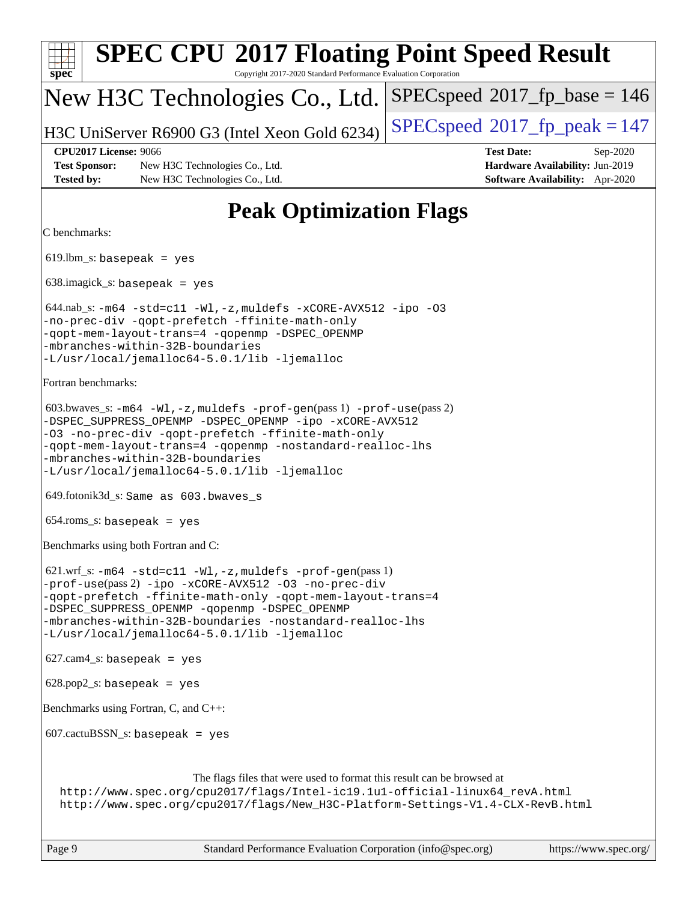| <b>SPEC CPU®2017 Floating Point Speed Result</b><br>Copyright 2017-2020 Standard Performance Evaluation Corporation<br>$spec^*$                                                                                                                                                                                                                                |                                                                                                            |
|----------------------------------------------------------------------------------------------------------------------------------------------------------------------------------------------------------------------------------------------------------------------------------------------------------------------------------------------------------------|------------------------------------------------------------------------------------------------------------|
| New H3C Technologies Co., Ltd.                                                                                                                                                                                                                                                                                                                                 | $SPEC speed^{\circ}2017\_fp\_base = 146$                                                                   |
| H3C UniServer R6900 G3 (Intel Xeon Gold 6234)                                                                                                                                                                                                                                                                                                                  | $SPEC speed^{\circ}2017$ _fp_peak = 147                                                                    |
| <b>CPU2017 License: 9066</b><br><b>Test Sponsor:</b><br>New H3C Technologies Co., Ltd.<br><b>Tested by:</b><br>New H3C Technologies Co., Ltd.                                                                                                                                                                                                                  | <b>Test Date:</b><br>Sep-2020<br>Hardware Availability: Jun-2019<br><b>Software Availability:</b> Apr-2020 |
| <b>Peak Optimization Flags</b>                                                                                                                                                                                                                                                                                                                                 |                                                                                                            |
| C benchmarks:                                                                                                                                                                                                                                                                                                                                                  |                                                                                                            |
| $619.$ lbm_s: basepeak = yes                                                                                                                                                                                                                                                                                                                                   |                                                                                                            |
| $638.\text{imagek}_s:$ basepeak = yes                                                                                                                                                                                                                                                                                                                          |                                                                                                            |
| 644.nab_s: -m64 -std=c11 -Wl,-z, muldefs -xCORE-AVX512 -ipo -03<br>-no-prec-div -qopt-prefetch -ffinite-math-only<br>-qopt-mem-layout-trans=4 -qopenmp -DSPEC_OPENMP<br>-mbranches-within-32B-boundaries<br>-L/usr/local/jemalloc64-5.0.1/lib -ljemalloc                                                                                                       |                                                                                                            |
| Fortran benchmarks:                                                                                                                                                                                                                                                                                                                                            |                                                                                                            |
| $603.bwaves$ $s: -m64 -W1, -z$ , muldefs $-prof-gen(pass 1) -prof-use(pass 2)$<br>-DSPEC_SUPPRESS_OPENMP -DSPEC_OPENMP -ipo -xCORE-AVX512<br>-03 -no-prec-div -qopt-prefetch -ffinite-math-only<br>-qopt-mem-layout-trans=4 -qopenmp -nostandard-realloc-lhs<br>-mbranches-within-32B-boundaries<br>-L/usr/local/jemalloc64-5.0.1/lib -ljemalloc               |                                                                                                            |
| 649.fotonik3d_s: Same as 603.bwaves_s                                                                                                                                                                                                                                                                                                                          |                                                                                                            |
| $654$ .roms_s: basepeak = yes                                                                                                                                                                                                                                                                                                                                  |                                                                                                            |
| Benchmarks using both Fortran and C:                                                                                                                                                                                                                                                                                                                           |                                                                                                            |
| $621.wrf_s$ : $-m64 - std = c11 - Wl$ , $-z$ , muldefs $-prof-gen(pass 1)$<br>-prof-use(pass 2) -ipo -xCORE-AVX512 -03 -no-prec-div<br>-qopt-prefetch -ffinite-math-only -qopt-mem-layout-trans=4<br>-DSPEC_SUPPRESS_OPENMP -qopenmp -DSPEC_OPENMP<br>-mbranches-within-32B-boundaries -nostandard-realloc-lhs<br>-L/usr/local/jemalloc64-5.0.1/lib -ljemalloc |                                                                                                            |
| $627.cam4_s$ : basepeak = yes                                                                                                                                                                                                                                                                                                                                  |                                                                                                            |
| $628.pop2_s: basepeak = yes$                                                                                                                                                                                                                                                                                                                                   |                                                                                                            |
| Benchmarks using Fortran, C, and C++:                                                                                                                                                                                                                                                                                                                          |                                                                                                            |
| $607.cactuBSSN_s$ : basepeak = yes                                                                                                                                                                                                                                                                                                                             |                                                                                                            |
| The flags files that were used to format this result can be browsed at<br>http://www.spec.org/cpu2017/flags/Intel-ic19.1u1-official-linux64_revA.html<br>http://www.spec.org/cpu2017/flags/New_H3C-Platform-Settings-V1.4-CLX-RevB.html                                                                                                                        |                                                                                                            |